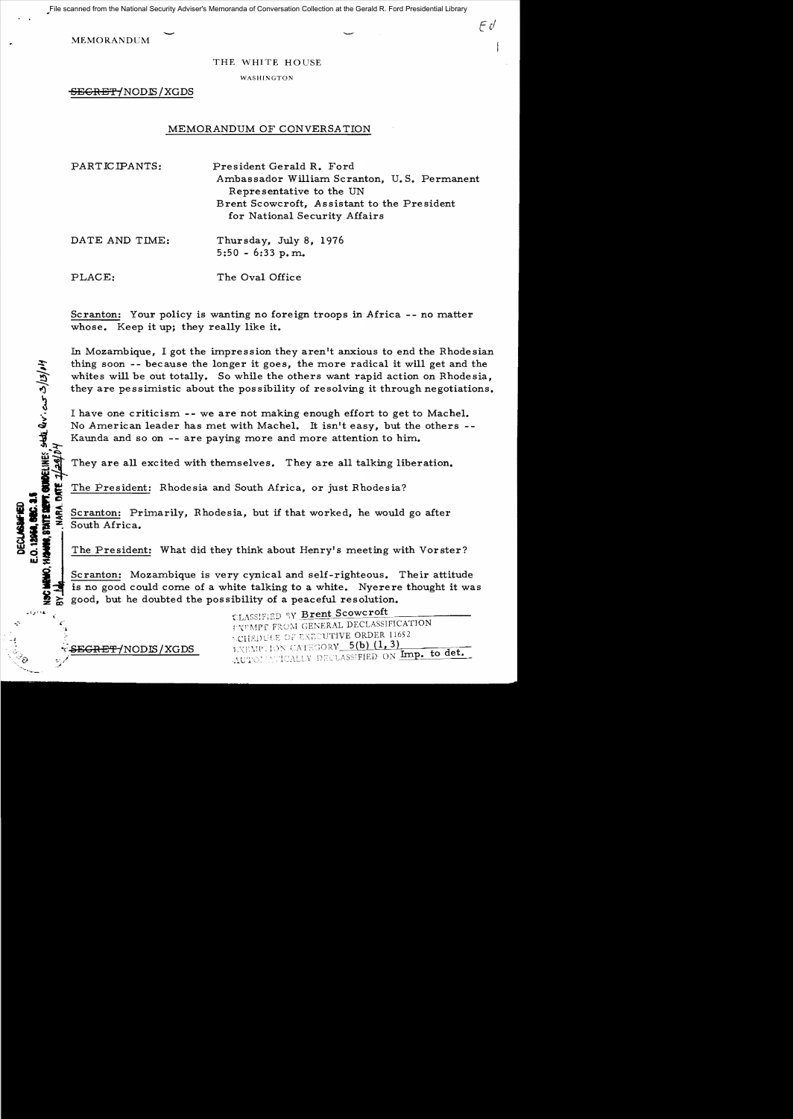File scanned from the National Security Adviser's Memoranda of Conversation Collection at the Gerald R. Ford Presidential Library

**MEMORANDUM** 

THE WHITE HOUSE

 $F\mathcal{O}$ 

WASHINGTON

SEGRET/NODIS/XGDS

## MEMORANDUM OF CONVERSATION

PARTICIPANTS: President Gerald R. Ford Ambassador William Scranton. U.S. Permanent Representative to the UN Brent Scowcroft. Assistant to the President for National Security Affairs

DATE AND TIME: Thursday, July 8, 1976  $5:50 - 6:33 p.m.$ 

PLACE: The Oval Office

Scranton: Your policy is wanting no foreign troops in Africa -- no matter whose. Keep it up; they really like it.

In Mozambique, I got the impression they aren't anxious to end the Rhodesian thing soon -- because the longer it goes, the more radical it will get and the whites will be out totally. So while the others want rapid action on Rhodesia. they are pessimistic about the possibility of resolving it through negotiations.

I have one criticism -- we are not making enough effort to get to Machel. No American leader has met with Machel. It isn't easy, but the others --Kaunda and so on -- are paying more and more attention to him.

They are all excited with themselves. They are all talking liberation.

The President: Rhodesia and South Africa, or just Rhodesia?

Scranton: Primarily, Rhodesia, but if that worked, he would go after South Africa.

The President: What did they think about Henry's meeting with Vorster?

Scranton: Mozambique is very cynical and self-righteous. Their attitude is no good could come of a white talking to a white. Nyerere thought it was good, but he doubted the possibility of a peaceful resolution.

CLASSIFIED BY Brent Scowcroft FXFMPT FROM GENERAL DECLASSIFICATION DIJEDULE OF EXECUTIVE ORDER 11652 EXEMPTION CATEGORY 5(b) (1, 3) AUTOMMUTCALLY DECLASSIFIED ON Imp. to det.

<del>SEGRET/</del>NODIS/XGDS

**MA, STATE DEPT. GUBBELINES.** SHATL QU'. CUT 3/15/14

0.12944.5EC.3. **DECLASSIFIE** 

 $\approx$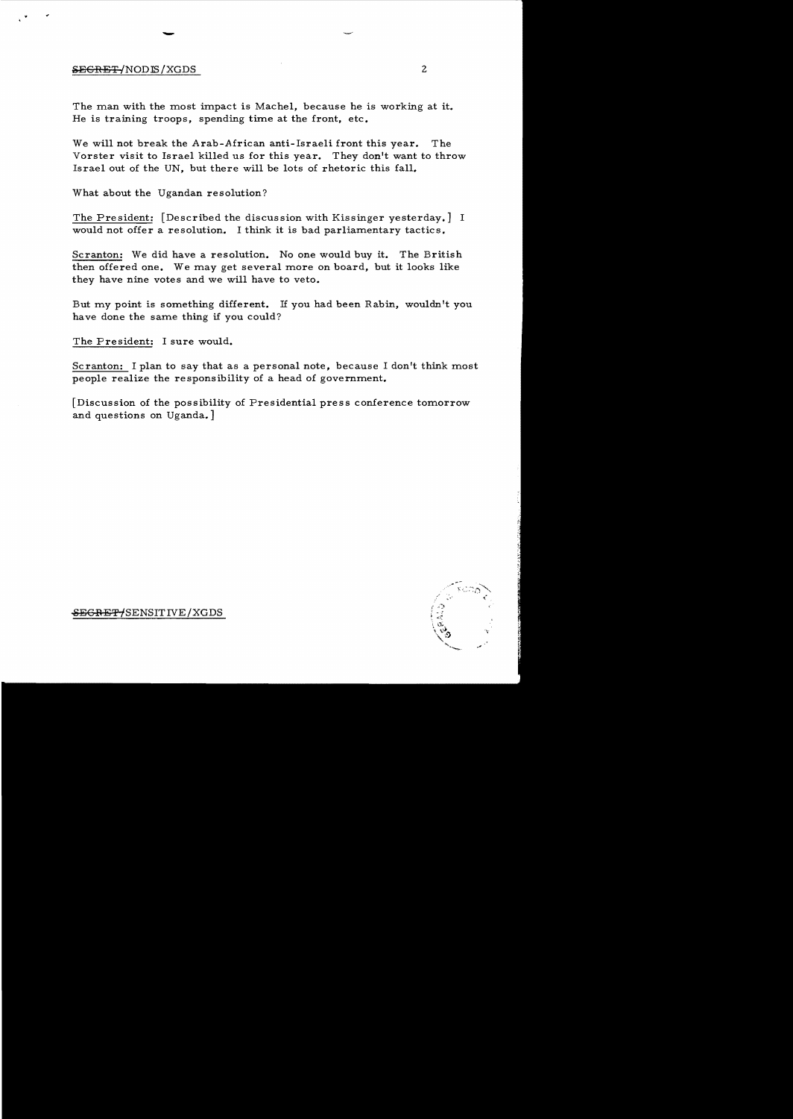## &EGRET *INODIS* /XGDS 2

The man with the most impact is Machel, because he is working at it. He is training troops, spending time at the front, etc.

We will not break the Arab-African anti-Israeli front this year. The Vorster visit to Israel killed us for this year. They don't want to throw Israel out of the UN, but there will be lots of rhetoric this fall.

What about the Ugandan resolution?

-

The President: [Described the discussion with Kissinger yesterday.] I would not offer a resolution. I think it is bad parliamentary tactics.

Scranton: We did have a resolution. No one would buy it. The British then offered one. We may get several more on board, but it looks like they have nine votes and we will have to veto.

But my point is something different. If you had been Rabin, wouldn't you have done the same thing if you could?

The President: I sure would.

Scranton: I plan to say that as a personal note, because I don't think most people realize the responsibility of a head of government.

[Discussion of the possibility of Presidential press conference tomorrow and questions on Uganda.]



<del>SEGRET/</del>SENSITIVE/XGDS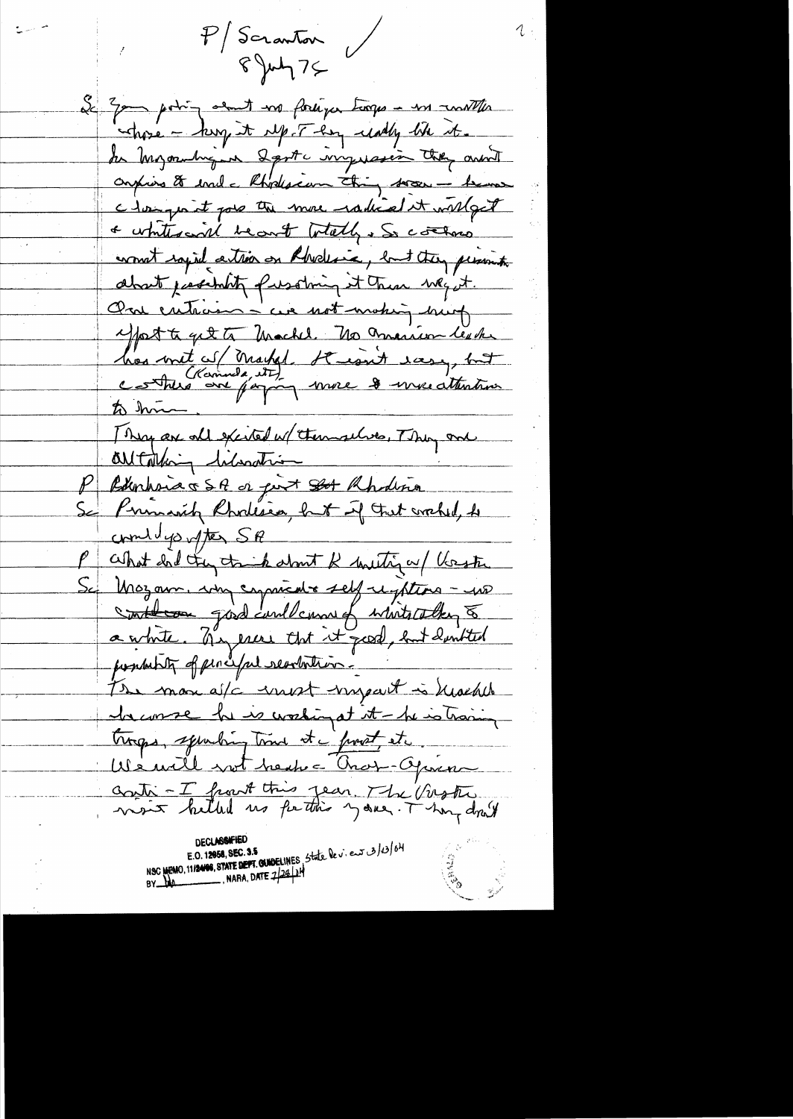$P/S$ cranton  $894775$ 

e i liberatur.<br>Seminari i liberatur

Le 2pm point en fortiger torps - in unitter whose - king it up I has undy the it. the Myornburg on Last myresin they aren't confins to evale Rhodesian thing soon - bene clampo it pour the more radical it withget a white world become to tally . So control won't saying attion on Rhodesia, but they present about justifity pusting it then weight. One entrain - cue not making hung Most to get to Machel. No marion texte has write of Market Striggit easy, but to him They are all excited w/ themselves, They are Outaking liberation P Bunhoia & S. R or port Stot Rhodina Se Primarik Rhodesie, huit up trat crahed, de combingo often SA What had they trick about R uniting a / Verste Se Mozam. why cypricate self righting - up a white. They ever that it good, but don't ted possibility of percept searchitics. The more after most impart is heached daconse la version at it - la vation troops, spending time it a provent at ... We will not heak a Cras-Operan contr - I front this year The Virster

**DECLASSIFIED** NSC MEMO, 11/24106, STATE DEPT. QUIDELINES, State le v. en 3/0/04 NARA, DATE  $2/28/18$  $BY_{\perp}M$